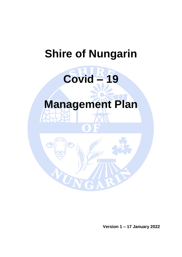# **Shire of Nungarin**

# **Covid – 19**

# **Management Plan**

W

**Version 1 – 17 January 2022**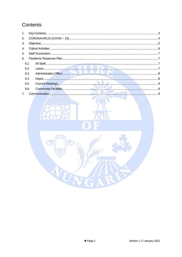# Contents

| 1.             |   |  |
|----------------|---|--|
| 2.             |   |  |
| 3.             |   |  |
| 4.             |   |  |
| 5 <sub>1</sub> |   |  |
| 6.             |   |  |
| 6.1            |   |  |
| 6.2            |   |  |
| 6.3            |   |  |
| 6.4            |   |  |
| 6.5            |   |  |
| 6.6            |   |  |
| 7 <sub>1</sub> | 0 |  |

R

 $\sigma_{\rm N}$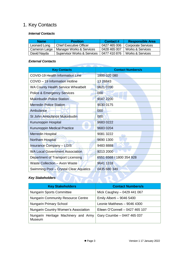# <span id="page-2-0"></span>1. Key Contacts

#### *Internal Contacts*

| <b>Name</b>   | <b>Position</b>                | Contact #    | <b>Responsible Area</b>   |
|---------------|--------------------------------|--------------|---------------------------|
| Leonard Long  | <b>Chief Executive Officer</b> | 0427 465 006 | <b>Corporate Services</b> |
| Cameron Large | Manager Works & Services       | 0428 465 007 | Works & Services          |
| David Nayda   | Supervisor Works & Services    | 0477 410 876 | Works & Services          |

#### *External Contacts*

| <b>Key Contacts</b>                       | <b>Contact Numbers/s</b> |
|-------------------------------------------|--------------------------|
| <b>COVID-19 Health Information Line</b>   | 1800 020 080             |
| COVID - 19 Information Hotline            | 13 26843                 |
| <b>WA County Health Service Wheatbelt</b> | 9621 0700                |
| <b>Police &amp; Emergency Services</b>    | 000                      |
| <b>Mukinbudin Police Station</b>          | 9047 2200                |
| <b>Merredin Police Station</b>            | 9030 0175                |
| Ambulance                                 | 000                      |
| St John Ambulance Mukinbudin              | 000                      |
| Kununoppin Hospital                       | 9683 0222                |
| <b>Kununoppin Medical Practice</b>        | 9683 0204                |
| <b>Merredin Hospital</b>                  | 9081 3222                |
| <b>Northam Hospital</b>                   | 9690 1300                |
| <b>Insurance Company - LGIS</b>           | 94838888                 |
| <b>WA Local Government Association</b>    | 9213 2000                |
| Department of Transport Licensing         | 6551 6568 / 1800 354 928 |
| Waste Collection - Avon Waste             | 9641 1318                |
| Swimming Pool - Crystal Clear Aquatics    | 0435 680 349             |

# **Key Stakeholders**

| <b>Key Stakeholders</b>                        | <b>Contact Numbers/s</b>        |  |  |
|------------------------------------------------|---------------------------------|--|--|
| <b>Nungarin Sports Committee</b>               | Mick Caughey - 0429 441 067     |  |  |
| <b>Nungarin Community Resource Centre</b>      | Emily Alberti - 9046 5400       |  |  |
| <b>Nungarin Primary School</b>                 | Leonie Matthews - 9046 4300     |  |  |
| Nungarin Country Women's Association           | Eileen O'Connell - 0427 465 107 |  |  |
| Nungarin Heritage Machinery and Army<br>Museum | Gary Coumbe - 0447 465 037      |  |  |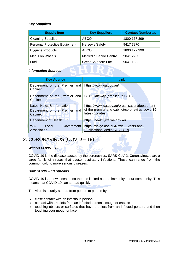#### *Key Suppliers*

| <b>Supply Item</b>                   | <b>Key Suppliers</b>          | <b>Contact Numbers/s</b> |  |
|--------------------------------------|-------------------------------|--------------------------|--|
| <b>Cleaning Supplies</b>             | <b>ABCO</b>                   | 1800 177 399             |  |
| <b>Personal Protective Equipment</b> | Hersey's Safety               | 9417 7870                |  |
| <b>Hygiene Products</b>              | <b>ABCO</b>                   | 1800 177 399             |  |
| <b>Meals on Wheels</b>               | <b>Merredin Senior Centre</b> | 9041 2233                |  |
| Fuel                                 | <b>Great Southern Fuel</b>    | 9041 1082                |  |

#### *Information Sources*

| <b>Key Agency</b>                                                     | <b>Link</b>                                                                                                          |
|-----------------------------------------------------------------------|----------------------------------------------------------------------------------------------------------------------|
| Department of the Premier and<br>Cabinet                              | https://www.wa.gov.au/                                                                                               |
| Department of the Premier and CEO Gateway (emailed to CEO)<br>Cabinet |                                                                                                                      |
| Latest News & Information<br>Department of the Premier and<br>Cabinet | https://www.wa.gov.au/organisation/department-<br>of-the-premier-and-cabinet/coronavirus-covid-19-<br>latest-updates |
| Department of Health                                                  | https://healthywa.wa.gov.au                                                                                          |
| WA <b>M</b><br>Government<br>Local<br>Association                     | https://walga.asn.au/News,-Events-and-<br>Publications/Media/COVID-19                                                |

# <span id="page-3-0"></span>2. CORONAVIRUS (COVID – 19)

#### *What is COVID – 19*

COVID-19 is the disease caused by the coronavirus, SARS-CoV-2. Coronaviruses are a large family of viruses that cause respiratory infections. These can range from the common cold to more serious diseases.

#### *How COVID – 19 Spreads*

COVID-19 is a new disease, so there is limited natural immunity in our community. This means that COVID-19 can spread quickly.

The virus is usually spread from person to person by:

- close contact with an infectious person
- contact with droplets from an infected person's cough or sneeze
- touching objects or surfaces that have droplets from an infected person, and then touching your mouth or face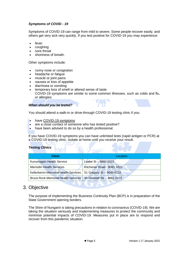#### *Symptoms of COVID - 19*

Symptoms of COVID-19 can range from mild to severe. Some people recover easily, and others get very sick very quickly. If you test positive for COVID-19 you may experience:

- fever
- coughing
- sore throat
- shortness of breath.

Other symptoms include:

- runny nose or congestion
- headache or fatigue
- muscle or joint pains
- nausea or loss of appetite
- diarrhoea or vomiting
- temporary loss of smell or altered sense of taste. COVID-19 symptoms are similar to some common illnesses, such as colds and flu, or allergies.

#### *When should you be tested?*

You should attend a walk-in or drive-through COVID-19 testing clinic if you:

- have [COVID-19 symptoms](https://www.health.gov.au/health-alerts/covid-19/symptoms-and-variants)
- are a close contact of someone who has tested positive?
- have been advised to do so by a health professional.

If you have COVID-19 symptoms you can have unlimited tests (rapid antigen or PCR) at a COVID-19 testing clinic. Isolate at home until you receive your result.

#### *Testing Clinics*

| <b>Clinic</b>                                | Location                    |
|----------------------------------------------|-----------------------------|
| Kununoppin Health Service                    | Leake St - 9683 0222        |
| <b>Merredin Health Services</b>              | Kitchener Road - 9081 3222  |
| <b>Kellerberrin Memorial Health Services</b> | 51 Gregory St - 9045 6222   |
| <b>Bruce Rock Memorial Health Services</b>   | 35 Dunstall Str - 9061 0222 |

### <span id="page-4-0"></span>3. Objective

The purpose of implementing the Business Continuity Plan (BCP) is in preparation of the State Government opening borders.

The Shire of Nungarin is taking precautions in relation to coronavirus (COVID-19). We are taking the situation seriously and implementing measures to protect the community and minimise potential impacts of COVID-19. Measures put in place are to respond and recover from this pandemic situation.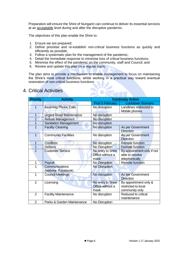Preparation will ensure the Shire of Nungarin can continue to deliver its essential services at an acceptable level during and after the disruptive pandemic.

The objectives of this plan enable the Shire to:

- 1. Ensure we are prepared;
- 2. Define prioritise and re-establish non-critical business functions as quickly and efficiently as possible;
- 3. Follow a systematic plan for the management of the pandemic;
- 4. Detail the immediate response to minimise loss of critical business functions;
- 5. Minimise the effect of the pandemic on the community, staff and Council; and
- 6. Review and update this plan on a regular basis.

The plan aims to provide a mechanism to enable management to focus on maintaining the Shire's most critical functions; whilst working in a practical way toward eventual restoration of non-critical business functions.

| <b>Priority</b> | <b>Activity</b>                       | <b>Continuity Action</b>                                                                                        |                                               |  |
|-----------------|---------------------------------------|-----------------------------------------------------------------------------------------------------------------|-----------------------------------------------|--|
|                 |                                       | Post 5 February                                                                                                 | <b>Lockdown Scenario</b>                      |  |
| 1               | <b>Incoming Phone Calls</b>           | No disruption<br>Landlines redirected to<br>Mobile phones                                                       |                                               |  |
| 1               | <b>Urgent Road Maintenance</b>        | No disruption                                                                                                   |                                               |  |
| 1               | <b>Refuse Management</b>              | No disruption                                                                                                   |                                               |  |
| 1               | <b>Sanitation Management</b>          | No disruption                                                                                                   |                                               |  |
| 1               | <b>Facility Cleaning</b>              | No disruption<br>As per Government<br><b>Direction</b>                                                          |                                               |  |
| 1               | <b>Community Facilities</b>           | No disruption<br>As per Government<br><b>Direction</b>                                                          |                                               |  |
| 1               | <b>Creditors</b>                      | No disruption<br><b>Remote function</b>                                                                         |                                               |  |
| 1               | <b>Debtors</b>                        | No Disruption<br><b>Remote function</b>                                                                         |                                               |  |
| 1               | <b>Customer Service</b>               | No entry to Shire<br>Office without a                                                                           | By appointment only if not<br>able to resolve |  |
|                 |                                       | mask                                                                                                            | telephonically                                |  |
| 1               | Payroll                               | <b>No Disruption</b>                                                                                            | <b>Remote function</b>                        |  |
| 1               | Communications<br>(website, Facebook) | <b>No Disruption</b>                                                                                            |                                               |  |
| 1               | <b>Council Meetings</b>               | No disruption                                                                                                   | As per Government<br><b>Direction</b>         |  |
| $\overline{2}$  | Licensing                             | No entry to Shire<br>By appointment only &<br>Office without a<br>restricted to local<br>mask<br>community only |                                               |  |
| $\overline{2}$  | <b>Facility Maintenance</b>           | Reduced to critical<br>No disruption<br>maintenance                                                             |                                               |  |
| $\overline{2}$  | Parks & Garden Maintenance            | No Disruption                                                                                                   |                                               |  |

### <span id="page-5-0"></span>4. Critical Activities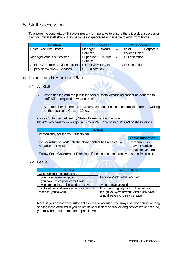# <span id="page-6-0"></span>5. Staff Succession

To ensure the continuity of Shire business, it is imperative to ensure there is a clear succession plan for critical staff should they become incapacitated and unable to work from home.

| <b>Position</b>                        | 1 <sup>st</sup> Successor  |              |                    | 2 <sup>nd</sup> Successor |           |
|----------------------------------------|----------------------------|--------------|--------------------|---------------------------|-----------|
| <b>Chief Executive Officer</b>         | Manager                    | <b>Works</b> |                    | & Senior                  | Corporate |
|                                        | Services                   |              |                    | <b>Services Officer</b>   |           |
| Manager Works & Services               | Supervisor<br>Works        |              | &   CEO discretion |                           |           |
|                                        | Services                   |              |                    |                           |           |
| Senior Corporate Services Officer      | <b>Executive Assistant</b> |              |                    | <b>CEO</b> discretion     |           |
| <b>Supervisor Works &amp; Services</b> | <b>CEO</b> discretion      |              |                    |                           |           |

## <span id="page-6-1"></span>6. Pandemic Response Plan

#### <span id="page-6-2"></span>6.1 All Staff

- When dealing with the public indoors or social distancing cannot be adhered to staff will be required to wear a mask.
- Staff member deemed to be a close contact or a close contact of someone waiting on the result of a Covid – 19 test.

Close Contact as defined by State Government at the time. [https://www.healthywa.wa.gov.au/Articles/A\\_E/Coronavirus/COVID-19-definitions](https://www.healthywa.wa.gov.au/Articles/A_E/Coronavirus/COVID-19-definitions)

| Action:                                                                             |  |  |  |  |
|-------------------------------------------------------------------------------------|--|--|--|--|
| Immediately advise your supervisor.                                                 |  |  |  |  |
| <b>Leave Allocation</b>                                                             |  |  |  |  |
| Personal (Sick)<br>Do not return to work until the close contact has received a     |  |  |  |  |
| Leave if available<br>negative test result                                          |  |  |  |  |
| unpaid leave if not                                                                 |  |  |  |  |
| Follow State Government Directions if the close contact receives a positive result. |  |  |  |  |

#### <span id="page-6-3"></span>6.2 Leave

| <b>Scenario</b>                              | <b>Leave Entitlement</b>                    |  |
|----------------------------------------------|---------------------------------------------|--|
| Close Contact (see clause 6.1)               |                                             |  |
| If you have flu-like symptoms                | Personal (Sick Leave) accrued               |  |
| If you have tested positive for Covid - 19   |                                             |  |
| If you are required to isolate due to travel | Annual leave accrued                        |  |
| If in lockdown and arrangements cannot be    | First 5 working days you will be paid as    |  |
| made for you to work                         | though you were at work. After first 5 days |  |
|                                              | annual leave / long service leave           |  |

**Note** if you do not have sufficient sick leave accrued, you may use any annual or long service leave accrued. If you do not have sufficient annual or long service leave accrued, you may be required to take unpaid leave.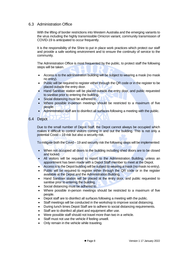#### <span id="page-7-0"></span>6.3 Administration Office

With the lifting of border restrictions into Western Australia and the emerging variants to the virus including the highly transmissible Omicron variant, community transmission of COVID-19 is anticipated to occur frequently.

It is the responsibility of the Shire to put in place work practices which protect our staff and provide a safe working environment and to ensure the continuity of service to the community.

The Administration Office is most frequented by the public, to protect staff the following steps will be taken.

- Access is to the administration building will be subject to wearing a mask (no mask no entry).
- Public will be required to register either through the QR code or in the register to be placed outside the entry door.
- Hand Sanitiser station will be placed outside the entry door, and public requested to sanitise prior to entering the building.
- Social distancing must be adhered to.
- Where possible in-person meetings should be restricted to a maximum of five people.
- Administration staff are to disinfect all surfaces following a meeting with the public.

#### <span id="page-7-1"></span>6.4 Depot

Due to the small number of Depot Staff, the Depot cannot always be occupied which makes it difficult to control visitors coming in and out the building. This is not only a potential Covid  $-19$  risk but also a security risk.

To mitigate both the Covid – 19 and security risk the following steps will be implemented:

- When not occupied all doors to the building including shed doors are to be closed and locked.
- All visitors will be required to report to the Administration Building, unless an appointment has been made with a Depot Staff member to meet at the Depot.
- Access is to the Depot building will be subject to wearing a mask (no mask no entry).
- Public will be required to register either through the QR code or in the register available at the Depot and the Administration Building.
- Hand Sanitiser station will be placed at the entry door, and public requested to sanitise prior to entering the building.
- Social distancing must be adhered to.
- Where possible in-person meetings should be restricted to a maximum of five people.
- Depot staff are to disinfect all surfaces following a meeting with the public.
- Staff meetings will be conducted in the workshop to improve social distancing.
- During lunch times Depot Staff are to adhere to social distancing requirements.
- Staff are to disinfect all plant and equipment after use.
- Were possible staff should not travel more than two in a vehicle.
- Staff must not use the vehicle if feeling unwell.
- Only remain in the vehicle while traveling.